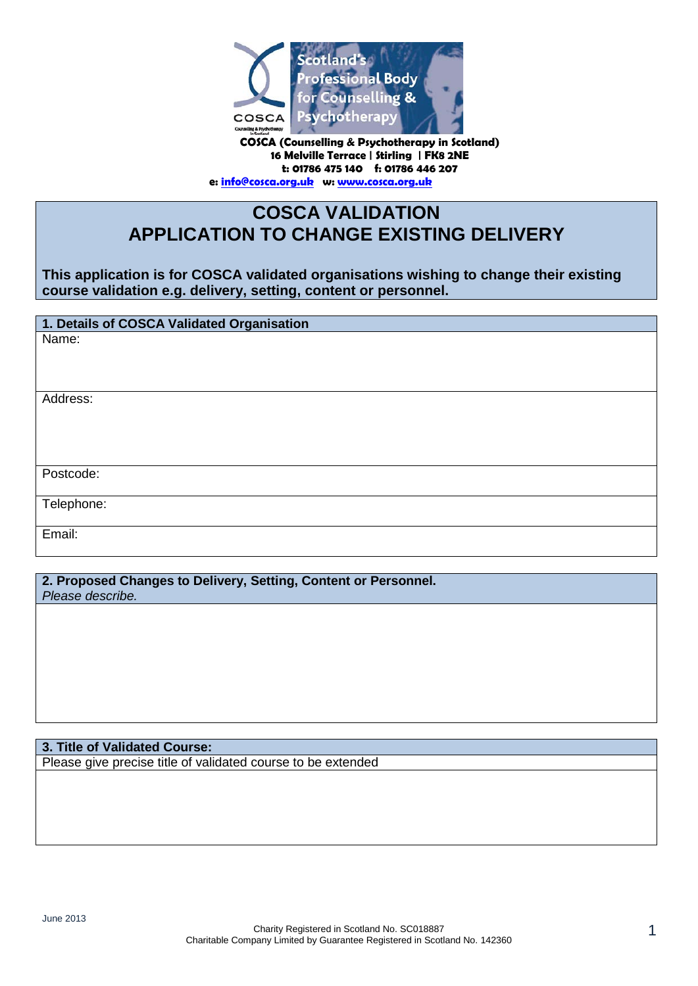

**COSCA (Counselling & Psychotherapy in Scotland) 16 Melville Terrace | Stirling | FK8 2NE t: 01786 475 140 f: 01786 446 207 e[: info@cosca.org.uk](mailto:info@cosca.org.uk) w: [www.cosca.org.uk](http://www.cosca.org.uk/)**

# **COSCA VALIDATION APPLICATION TO CHANGE EXISTING DELIVERY**

**This application is for COSCA validated organisations wishing to change their existing course validation e.g. delivery, setting, content or personnel.**

**1. Details of COSCA Validated Organisation**

Name:

Address:

Postcode:

Telephone:

Email:

**2. Proposed Changes to Delivery, Setting, Content or Personnel.** *Please describe.*

**3. Title of Validated Course:**

Please give precise title of validated course to be extended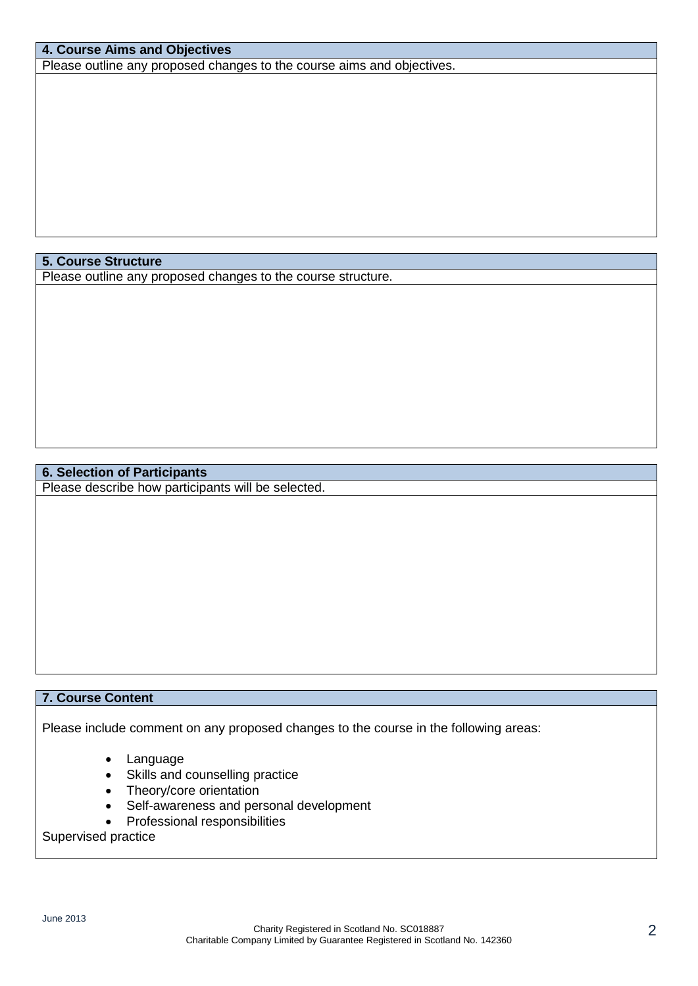## **4. Course Aims and Objectives**

Please outline any proposed changes to the course aims and objectives.

#### **5. Course Structure**

Please outline any proposed changes to the course structure.

## **6. Selection of Participants**

Please describe how participants will be selected.

## **7. Course Content**

Please include comment on any proposed changes to the course in the following areas:

- Language
- Skills and counselling practice
- Theory/core orientation
- Self-awareness and personal development
- Professional responsibilities

#### Supervised practice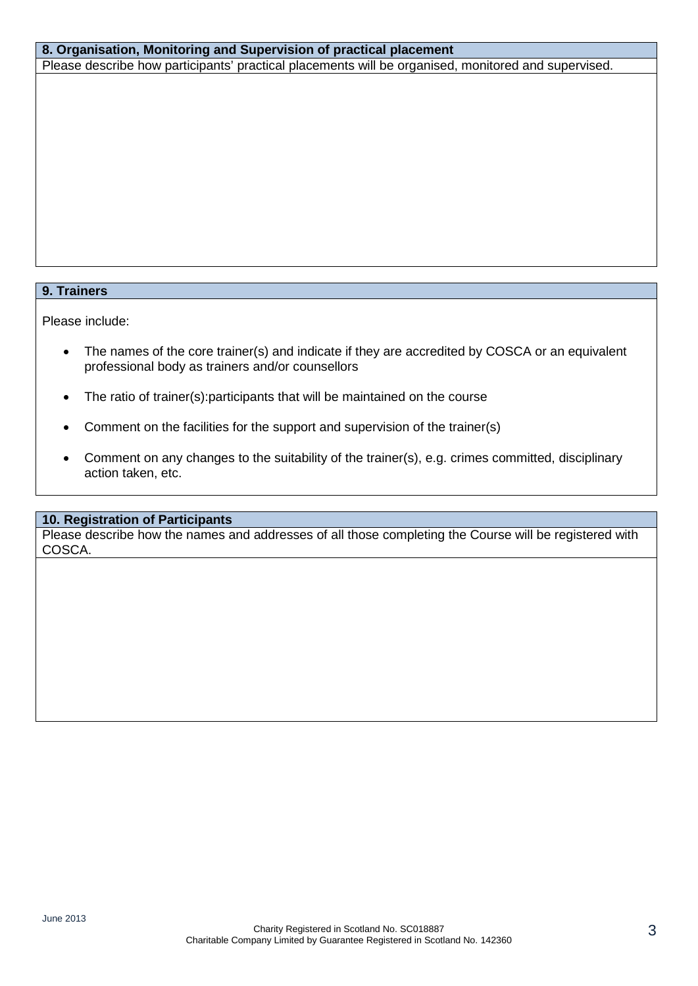## **8. Organisation, Monitoring and Supervision of practical placement**

Please describe how participants' practical placements will be organised, monitored and supervised.

#### **9. Trainers**

Please include:

- The names of the core trainer(s) and indicate if they are accredited by COSCA or an equivalent professional body as trainers and/or counsellors
- The ratio of trainer(s):participants that will be maintained on the course
- Comment on the facilities for the support and supervision of the trainer(s)
- Comment on any changes to the suitability of the trainer(s), e.g. crimes committed, disciplinary action taken, etc.

#### **10. Registration of Participants**

Please describe how the names and addresses of all those completing the Course will be registered with COSCA.